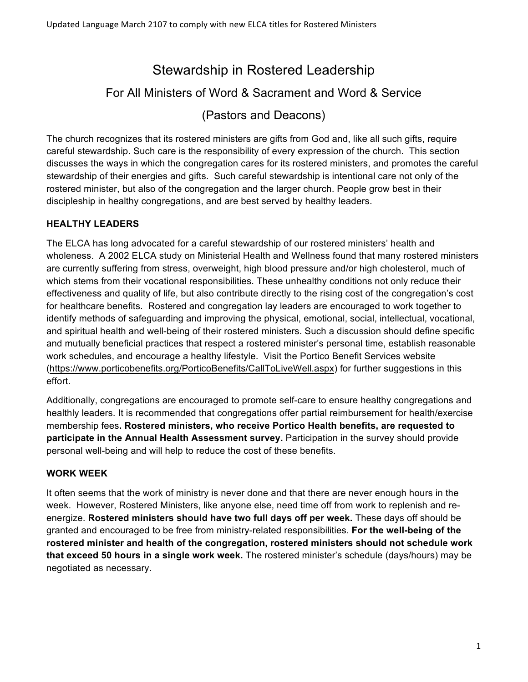# Stewardship in Rostered Leadership

## For All Ministers of Word & Sacrament and Word & Service

(Pastors and Deacons)

The church recognizes that its rostered ministers are gifts from God and, like all such gifts, require careful stewardship. Such care is the responsibility of every expression of the church. This section discusses the ways in which the congregation cares for its rostered ministers, and promotes the careful stewardship of their energies and gifts. Such careful stewardship is intentional care not only of the rostered minister, but also of the congregation and the larger church. People grow best in their discipleship in healthy congregations, and are best served by healthy leaders.

### **HEALTHY LEADERS**

The ELCA has long advocated for a careful stewardship of our rostered ministers' health and wholeness. A 2002 ELCA study on Ministerial Health and Wellness found that many rostered ministers are currently suffering from stress, overweight, high blood pressure and/or high cholesterol, much of which stems from their vocational responsibilities. These unhealthy conditions not only reduce their effectiveness and quality of life, but also contribute directly to the rising cost of the congregation's cost for healthcare benefits. Rostered and congregation lay leaders are encouraged to work together to identify methods of safeguarding and improving the physical, emotional, social, intellectual, vocational, and spiritual health and well-being of their rostered ministers. Such a discussion should define specific and mutually beneficial practices that respect a rostered minister's personal time, establish reasonable work schedules, and encourage a healthy lifestyle. Visit the Portico Benefit Services website (https://www.porticobenefits.org/PorticoBenefits/CallToLiveWell.aspx) for further suggestions in this effort.

Additionally, congregations are encouraged to promote self-care to ensure healthy congregations and healthly leaders. It is recommended that congregations offer partial reimbursement for health/exercise membership fees**. Rostered ministers, who receive Portico Health benefits, are requested to participate in the Annual Health Assessment survey.** Participation in the survey should provide personal well-being and will help to reduce the cost of these benefits.

#### **WORK WEEK**

It often seems that the work of ministry is never done and that there are never enough hours in the week. However, Rostered Ministers, like anyone else, need time off from work to replenish and reenergize. **Rostered ministers should have two full days off per week.** These days off should be granted and encouraged to be free from ministry-related responsibilities. **For the well-being of the rostered minister and health of the congregation, rostered ministers should not schedule work that exceed 50 hours in a single work week.** The rostered minister's schedule (days/hours) may be negotiated as necessary.